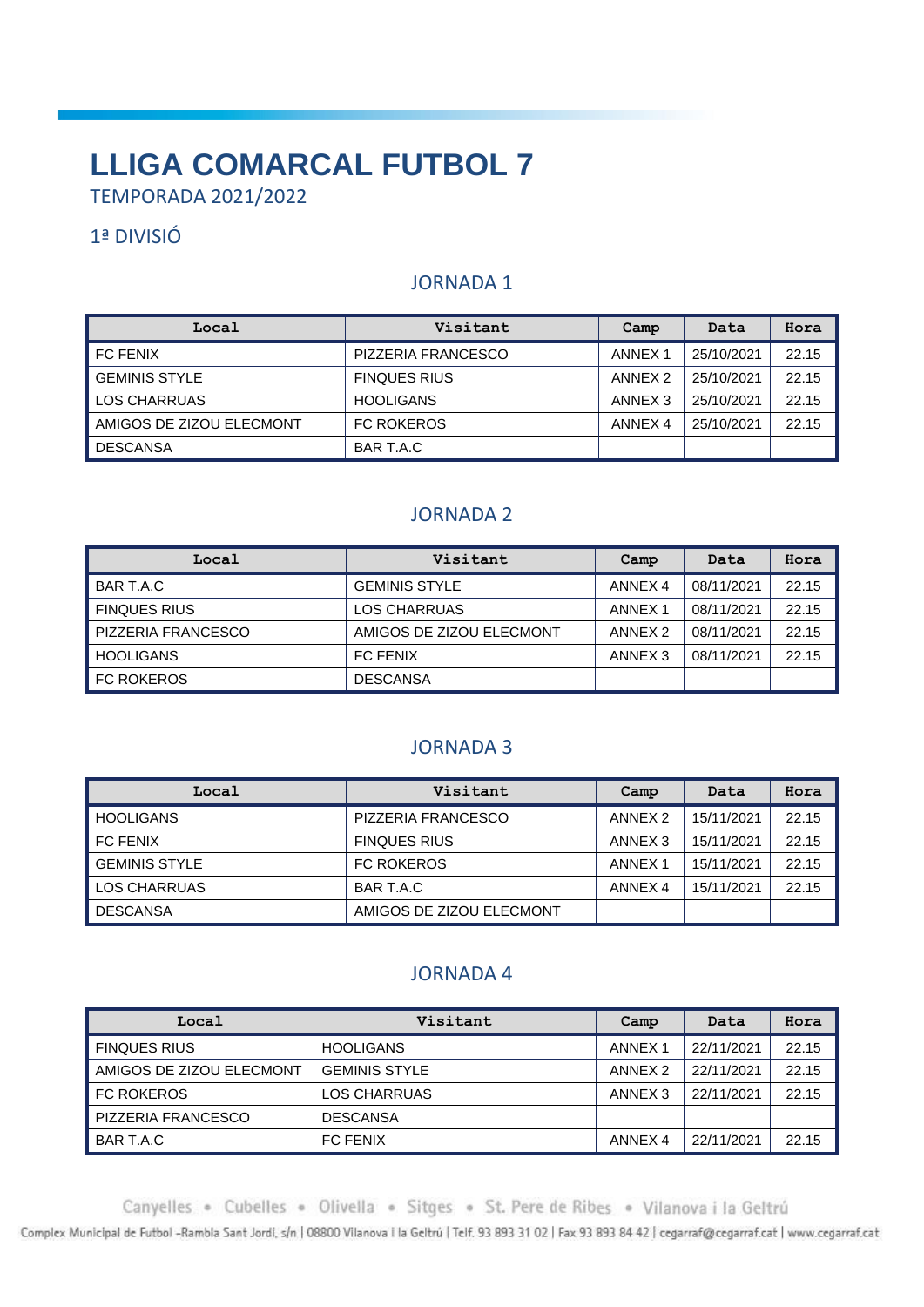# **LLIGA COMARCAL FUTBOL 7**

TEMPORADA 2021/2022

# 1ª DIVISIÓ

# JORNADA 1

| Local                    | Visitant            | Camp               | Data       | Hora  |
|--------------------------|---------------------|--------------------|------------|-------|
| I FC FENIX               | PIZZERIA FRANCESCO  | ANNEX <sub>1</sub> | 25/10/2021 | 22.15 |
| l GEMINIS STYLE          | <b>FINQUES RIUS</b> | ANNEX <sub>2</sub> | 25/10/2021 | 22.15 |
| LOS CHARRUAS             | <b>HOOLIGANS</b>    | ANNEX 3            | 25/10/2021 | 22.15 |
| AMIGOS DE ZIZOU ELECMONT | <b>FC ROKEROS</b>   | ANNEX 4            | 25/10/2021 | 22.15 |
| DESCANSA                 | BAR T.A.C           |                    |            |       |

## JORNADA 2

| Local                     | Visitant                 | Camp               | Data       | Hora  |
|---------------------------|--------------------------|--------------------|------------|-------|
| BAR T.A.C                 | <b>GEMINIS STYLE</b>     | ANNEX <sub>4</sub> | 08/11/2021 | 22.15 |
| <b>FINQUES RIUS</b>       | <b>LOS CHARRUAS</b>      | ANNEX <sub>1</sub> | 08/11/2021 | 22.15 |
| <b>PIZZERIA FRANCESCO</b> | AMIGOS DE ZIZOU ELECMONT | ANNEX 2            | 08/11/2021 | 22.15 |
| HOOLIGANS                 | <b>FC FENIX</b>          | ANNEX <sub>3</sub> | 08/11/2021 | 22.15 |
| <b>FC ROKEROS</b>         | <b>DESCANSA</b>          |                    |            |       |

#### JORNADA 3

| Local                | Visitant                 | Camp               | Data       | Hora  |
|----------------------|--------------------------|--------------------|------------|-------|
| <b>HOOLIGANS</b>     | PIZZERIA FRANCESCO       | ANNEX <sub>2</sub> | 15/11/2021 | 22.15 |
| I FC FENIX           | <b>FINQUES RIUS</b>      | ANNEX <sub>3</sub> | 15/11/2021 | 22.15 |
| <b>GEMINIS STYLE</b> | <b>FC ROKEROS</b>        | ANNEX <sub>1</sub> | 15/11/2021 | 22.15 |
| LOS CHARRUAS         | BAR T.A.C                | ANNEX 4            | 15/11/2021 | 22.15 |
| I DESCANSA           | AMIGOS DE ZIZOU ELECMONT |                    |            |       |

## JORNADA 4

| Local                    | Visitant             | Camp               | Data       | Hora  |
|--------------------------|----------------------|--------------------|------------|-------|
| <b>FINQUES RIUS</b>      | <b>HOOLIGANS</b>     | ANNEX <sub>1</sub> | 22/11/2021 | 22.15 |
| AMIGOS DE ZIZOU ELECMONT | <b>GEMINIS STYLE</b> | ANNEX <sub>2</sub> | 22/11/2021 | 22.15 |
| <b>FC ROKEROS</b>        | LOS CHARRUAS         | ANNEX <sub>3</sub> | 22/11/2021 | 22.15 |
| PIZZERIA FRANCESCO       | <b>DESCANSA</b>      |                    |            |       |
| BAR T.A.C                | <b>FC FENIX</b>      | ANNEX <sub>4</sub> | 22/11/2021 | 22.15 |

Canyelles . Cubelles . Olivella . Sitges . St. Pere de Ribes . Vilanova i la Geltrú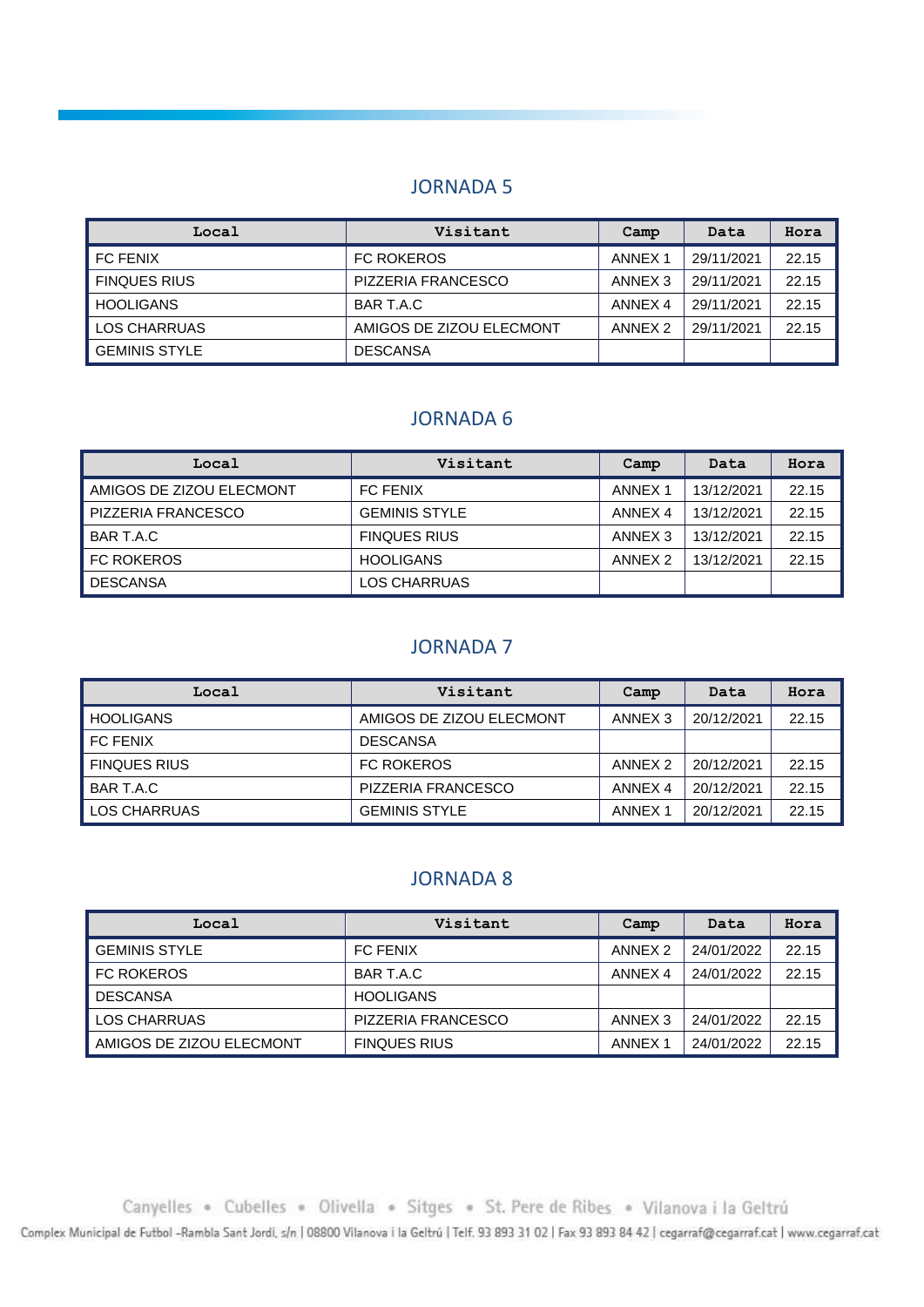| Local            | Visitant                 | Camp               | Data       | Hora  |
|------------------|--------------------------|--------------------|------------|-------|
| I FC FENIX       | <b>FC ROKEROS</b>        | ANNEX <sub>1</sub> | 29/11/2021 | 22.15 |
| I FINQUES RIUS   | PIZZERIA FRANCESCO       | ANNEX <sub>3</sub> | 29/11/2021 | 22.15 |
| <b>HOOLIGANS</b> | BAR T.A.C                | ANNEX <sub>4</sub> | 29/11/2021 | 22.15 |
| LOS CHARRUAS     | AMIGOS DE ZIZOU ELECMONT | ANNEX <sub>2</sub> | 29/11/2021 | 22.15 |
| I GEMINIS STYLE  | <b>DESCANSA</b>          |                    |            |       |

#### JORNADA 6

| Local                    | Visitant             | Camp               | Data       | Hora  |
|--------------------------|----------------------|--------------------|------------|-------|
| AMIGOS DE ZIZOU ELECMONT | <b>FC FENIX</b>      | ANNEX 1            | 13/12/2021 | 22.15 |
| PIZZERIA FRANCESCO       | <b>GEMINIS STYLE</b> | ANNEX 4            | 13/12/2021 | 22.15 |
| BAR T.A.C                | <b>FINQUES RIUS</b>  | ANNEX <sub>3</sub> | 13/12/2021 | 22.15 |
| <b>FC ROKEROS</b>        | <b>HOOLIGANS</b>     | ANNEX <sub>2</sub> | 13/12/2021 | 22.15 |
| <b>DESCANSA</b>          | LOS CHARRUAS         |                    |            |       |

#### JORNADA 7

| Local               | Visitant                 | Camp               | Data       | Hora  |
|---------------------|--------------------------|--------------------|------------|-------|
| <b>HOOLIGANS</b>    | AMIGOS DE ZIZOU ELECMONT | ANNEX 3            | 20/12/2021 | 22.15 |
| <b>FC FENIX</b>     | <b>DESCANSA</b>          |                    |            |       |
| <b>FINQUES RIUS</b> | <b>FC ROKEROS</b>        | ANNEX <sub>2</sub> | 20/12/2021 | 22.15 |
| BAR T.A.C           | PIZZERIA FRANCESCO       | ANNEX 4            | 20/12/2021 | 22.15 |
| LOS CHARRUAS        | <b>GEMINIS STYLE</b>     | ANNEX <sub>1</sub> | 20/12/2021 | 22.15 |

## JORNADA 8

| Local                    | Visitant            | Camp               | Data       | Hora  |
|--------------------------|---------------------|--------------------|------------|-------|
| <b>GEMINIS STYLE</b>     | <b>FC FENIX</b>     | ANNEX <sub>2</sub> | 24/01/2022 | 22.15 |
| <b>FC ROKEROS</b>        | BAR T.A.C           | ANNEX 4            | 24/01/2022 | 22.15 |
| <b>DESCANSA</b>          | <b>HOOLIGANS</b>    |                    |            |       |
| LOS CHARRUAS             | PIZZERIA FRANCESCO  | ANNEX 3            | 24/01/2022 | 22.15 |
| AMIGOS DE ZIZOU ELECMONT | <b>FINQUES RIUS</b> | ANNEX 1            | 24/01/2022 | 22.15 |

Canyelles . Cubelles . Olivella . Sitges . St. Pere de Ribes . Vilanova i la Geltrú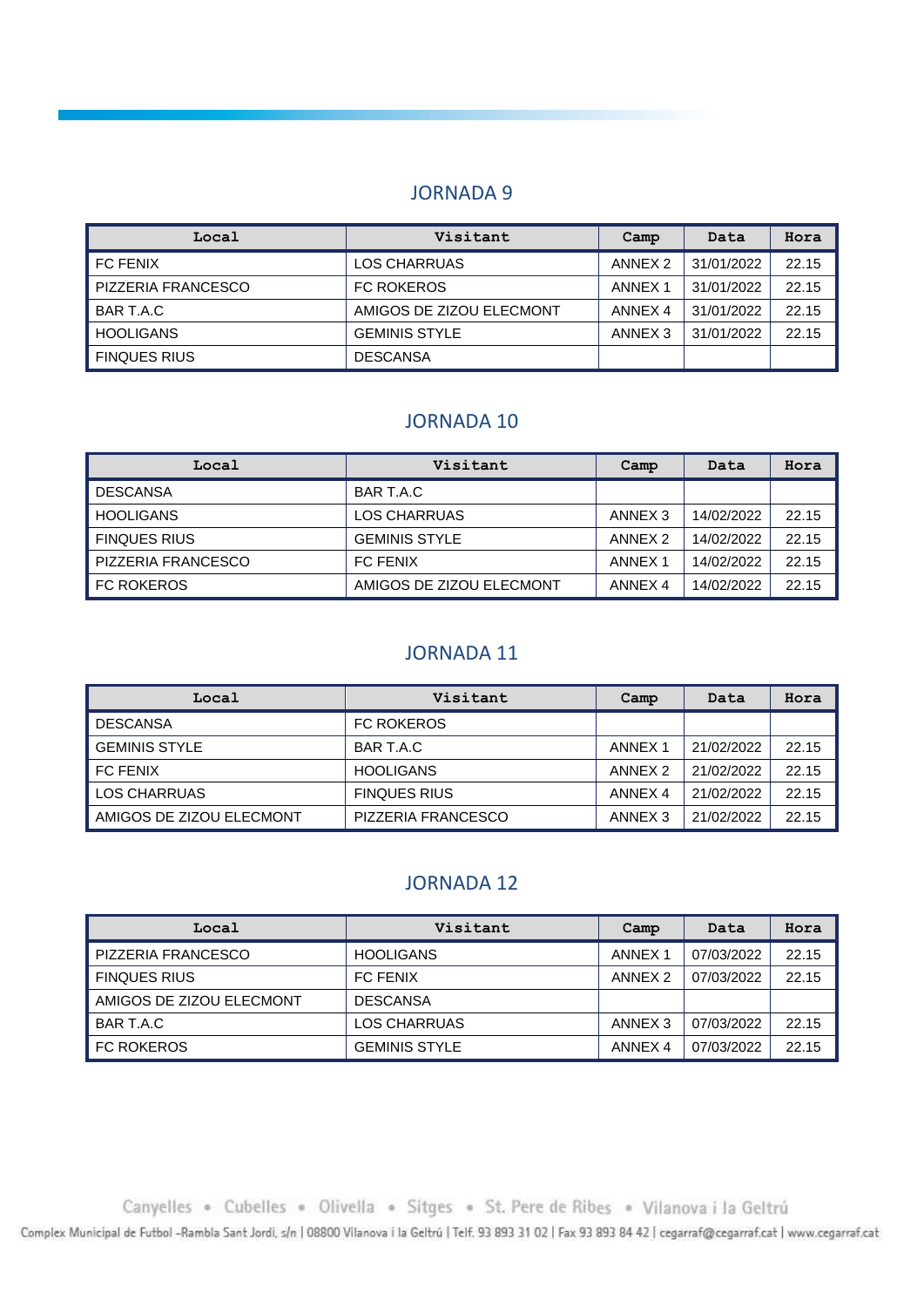| Local                     | Visitant                 | Camp               | Data       | Hora  |
|---------------------------|--------------------------|--------------------|------------|-------|
| l FC FENIX                | LOS CHARRUAS             | ANNEX 2            | 31/01/2022 | 22.15 |
| <b>PIZZERIA FRANCESCO</b> | <b>FC ROKEROS</b>        | ANNEX <sub>1</sub> | 31/01/2022 | 22.15 |
| BAR T.A.C                 | AMIGOS DE ZIZOU ELECMONT | ANNEX 4            | 31/01/2022 | 22.15 |
| HOOLIGANS                 | <b>GEMINIS STYLE</b>     | ANNEX <sub>3</sub> | 31/01/2022 | 22.15 |
| I FINQUES RIUS            | <b>DESCANSA</b>          |                    |            |       |

#### JORNADA 10

| Local                     | Visitant                 | Camp               | Data       | Hora  |
|---------------------------|--------------------------|--------------------|------------|-------|
| <b>DESCANSA</b>           | BAR T.A.C                |                    |            |       |
| HOOLIGANS                 | LOS CHARRUAS             | ANNEX <sub>3</sub> | 14/02/2022 | 22.15 |
| <b>FINQUES RIUS</b>       | <b>GEMINIS STYLE</b>     | ANNEX <sub>2</sub> | 14/02/2022 | 22.15 |
| <b>PIZZERIA FRANCESCO</b> | <b>FC FENIX</b>          | ANNEX 1            | 14/02/2022 | 22.15 |
| <b>FC ROKEROS</b>         | AMIGOS DE ZIZOU ELECMONT | ANNEX 4            | 14/02/2022 | 22.15 |

### JORNADA 11

| Local                    | Visitant            | Camp    | Data       | Hora  |
|--------------------------|---------------------|---------|------------|-------|
| <b>DESCANSA</b>          | <b>FC ROKEROS</b>   |         |            |       |
| <b>GEMINIS STYLE</b>     | BAR T.A.C           | ANNEX 1 | 21/02/2022 | 22.15 |
| <b>FC FENIX</b>          | <b>HOOLIGANS</b>    | ANNEX 2 | 21/02/2022 | 22.15 |
| <b>LOS CHARRUAS</b>      | <b>FINQUES RIUS</b> | ANNEX 4 | 21/02/2022 | 22.15 |
| AMIGOS DE ZIZOU ELECMONT | PIZZERIA FRANCESCO  | ANNEX 3 | 21/02/2022 | 22.15 |

#### JORNADA 12

| Local                    | Visitant             | Camp               | Data       | Hora  |
|--------------------------|----------------------|--------------------|------------|-------|
| PIZZERIA FRANCESCO       | <b>HOOLIGANS</b>     | ANNEX 1            | 07/03/2022 | 22.15 |
| <b>FINQUES RIUS</b>      | <b>FC FENIX</b>      | ANNEX <sub>2</sub> | 07/03/2022 | 22.15 |
| AMIGOS DE ZIZOU ELECMONT | <b>DESCANSA</b>      |                    |            |       |
| BAR T.A.C                | LOS CHARRUAS         | ANNEX <sub>3</sub> | 07/03/2022 | 22.15 |
| <b>FC ROKEROS</b>        | <b>GEMINIS STYLE</b> | ANNEX 4            | 07/03/2022 | 22.15 |

Canyelles . Cubelles . Olivella . Sitges . St. Pere de Ribes . Vilanova i la Geltrú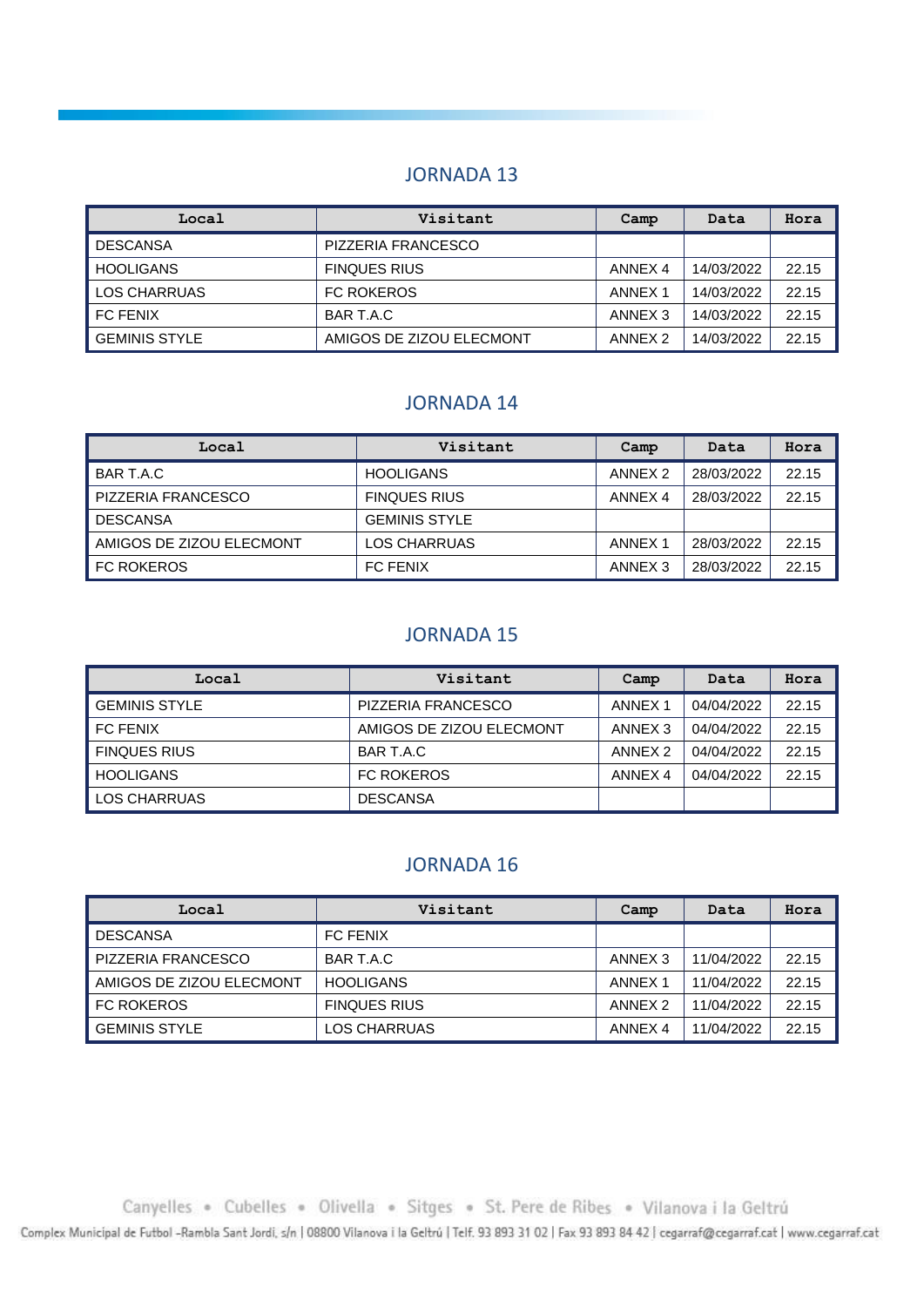| Local            | Visitant                 | Camp               | Data       | Hora  |
|------------------|--------------------------|--------------------|------------|-------|
| DESCANSA         | PIZZERIA FRANCESCO       |                    |            |       |
| <b>HOOLIGANS</b> | <b>FINQUES RIUS</b>      | ANNEX <sub>4</sub> | 14/03/2022 | 22.15 |
| LOS CHARRUAS     | <b>FC ROKEROS</b>        | ANNEX <sub>1</sub> | 14/03/2022 | 22.15 |
| l FC FENIX       | BAR T.A.C                | ANNEX <sub>3</sub> | 14/03/2022 | 22.15 |
| l GEMINIS STYLE  | AMIGOS DE ZIZOU ELECMONT | ANNEX 2            | 14/03/2022 | 22.15 |

#### JORNADA 14

| Local                    | Visitant             | Camp               | Data       | Hora  |
|--------------------------|----------------------|--------------------|------------|-------|
| BAR T.A.C                | <b>HOOLIGANS</b>     | ANNEX <sub>2</sub> | 28/03/2022 | 22.15 |
| PIZZERIA FRANCESCO       | <b>FINQUES RIUS</b>  | ANNEX 4            | 28/03/2022 | 22.15 |
| <b>DESCANSA</b>          | <b>GEMINIS STYLE</b> |                    |            |       |
| AMIGOS DE ZIZOU ELECMONT | <b>LOS CHARRUAS</b>  | <b>ANNEX 1</b>     | 28/03/2022 | 22.15 |
| <b>FC ROKEROS</b>        | <b>FC FENIX</b>      | ANNEX <sub>3</sub> | 28/03/2022 | 22.15 |

#### JORNADA 15

| Local                | Visitant                  | Camp               | Data       | Hora  |
|----------------------|---------------------------|--------------------|------------|-------|
| <b>GEMINIS STYLE</b> | <b>PIZZERIA FRANCESCO</b> | ANNEX <sub>1</sub> | 04/04/2022 | 22.15 |
| l FC FENIX           | AMIGOS DE ZIZOU ELECMONT  | ANNEX <sub>3</sub> | 04/04/2022 | 22.15 |
| <b>FINQUES RIUS</b>  | BAR T.A.C                 | ANNEX <sub>2</sub> | 04/04/2022 | 22.15 |
| HOOLIGANS            | <b>FC ROKEROS</b>         | ANNEX 4            | 04/04/2022 | 22.15 |
| LOS CHARRUAS         | <b>DESCANSA</b>           |                    |            |       |

#### JORNADA 16

| Local                    | Visitant            | Camp               | Data       | Hora  |
|--------------------------|---------------------|--------------------|------------|-------|
| <b>DESCANSA</b>          | <b>FC FENIX</b>     |                    |            |       |
| PIZZERIA FRANCESCO       | BAR T.A.C           | ANNEX <sub>3</sub> | 11/04/2022 | 22.15 |
| AMIGOS DE ZIZOU ELECMONT | <b>HOOLIGANS</b>    | ANNEX 1            | 11/04/2022 | 22.15 |
| <b>FC ROKEROS</b>        | <b>FINQUES RIUS</b> | ANNEX <sub>2</sub> | 11/04/2022 | 22.15 |
| <b>GEMINIS STYLE</b>     | LOS CHARRUAS        | ANNEX 4            | 11/04/2022 | 22.15 |

Canyelles . Cubelles . Olivella . Sitges . St. Pere de Ribes . Vilanova i la Geltrú